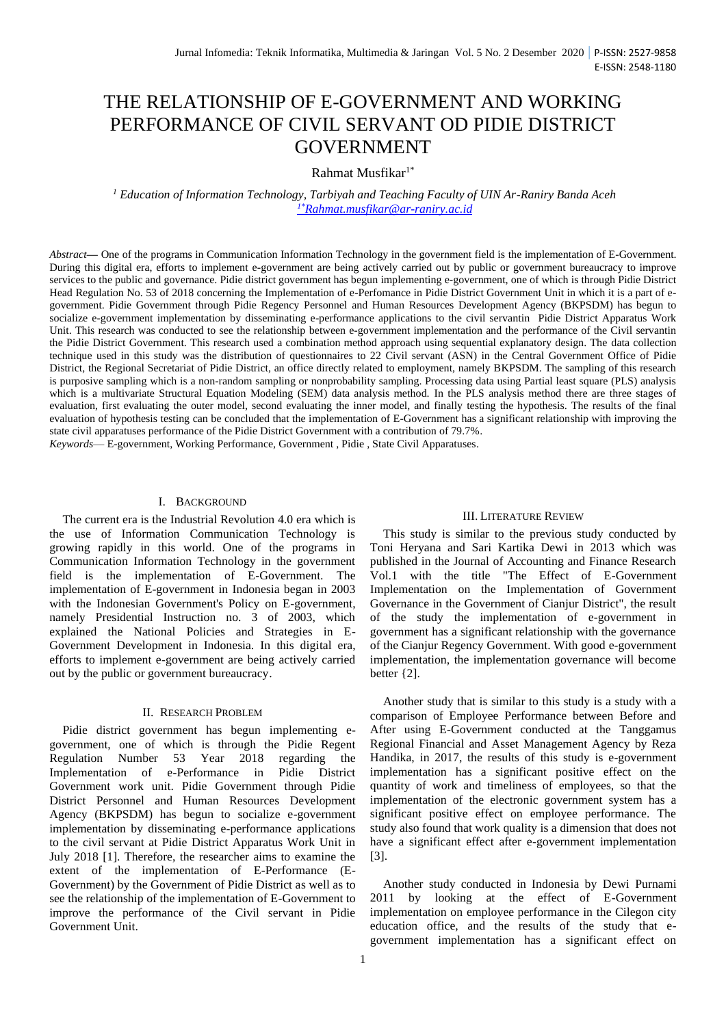# THE RELATIONSHIP OF E-GOVERNMENT AND WORKING PERFORMANCE OF CIVIL SERVANT OD PIDIE DISTRICT GOVERNMENT

Rahmat Musfikar1\*

*<sup>1</sup> Education of Information Technology, Tarbiyah and Teaching Faculty of UIN Ar-Raniry Banda Aceh 1\*[Rahmat.musfikar@ar-raniry.ac.id](mailto:1*Rahmat.musfikar@ar-raniry.ac.id)*

*Abstract***—** One of the programs in Communication Information Technology in the government field is the implementation of E-Government. During this digital era, efforts to implement e-government are being actively carried out by public or government bureaucracy to improve services to the public and governance. Pidie district government has begun implementing e-government, one of which is through Pidie District Head Regulation No. 53 of 2018 concerning the Implementation of e-Perfomance in Pidie District Government Unit in which it is a part of egovernment. Pidie Government through Pidie Regency Personnel and Human Resources Development Agency (BKPSDM) has begun to socialize e-government implementation by disseminating e-performance applications to the civil servantin Pidie District Apparatus Work Unit. This research was conducted to see the relationship between e-government implementation and the performance of the Civil servantin the Pidie District Government. This research used a combination method approach using sequential explanatory design. The data collection technique used in this study was the distribution of questionnaires to 22 Civil servant (ASN) in the Central Government Office of Pidie District, the Regional Secretariat of Pidie District, an office directly related to employment, namely BKPSDM. The sampling of this research is purposive sampling which is a non-random sampling or nonprobability sampling. Processing data using Partial least square (PLS) analysis which is a multivariate Structural Equation Modeling (SEM) data analysis method. In the PLS analysis method there are three stages of evaluation, first evaluating the outer model, second evaluating the inner model, and finally testing the hypothesis. The results of the final evaluation of hypothesis testing can be concluded that the implementation of E-Government has a significant relationship with improving the state civil apparatuses performance of the Pidie District Government with a contribution of 79.7%. *Keywords*— E-government, Working Performance, Government , Pidie , State Civil Apparatuses.

## I. BACKGROUND

The current era is the Industrial Revolution 4.0 era which is the use of Information Communication Technology is growing rapidly in this world. One of the programs in Communication Information Technology in the government field is the implementation of E-Government. The implementation of E-government in Indonesia began in 2003 with the Indonesian Government's Policy on E-government, namely Presidential Instruction no. 3 of 2003, which explained the National Policies and Strategies in E-Government Development in Indonesia. In this digital era, efforts to implement e-government are being actively carried out by the public or government bureaucracy.

## II. RESEARCH PROBLEM

Pidie district government has begun implementing egovernment, one of which is through the Pidie Regent Regulation Number 53 Year 2018 regarding the Implementation of e-Performance in Pidie District Government work unit. Pidie Government through Pidie District Personnel and Human Resources Development Agency (BKPSDM) has begun to socialize e-government implementation by disseminating e-performance applications to the civil servant at Pidie District Apparatus Work Unit in July 2018 [1]. Therefore, the researcher aims to examine the extent of the implementation of E-Performance (E-Government) by the Government of Pidie District as well as to see the relationship of the implementation of E-Government to improve the performance of the Civil servant in Pidie Government Unit.

#### III. LITERATURE REVIEW

This study is similar to the previous study conducted by Toni Heryana and Sari Kartika Dewi in 2013 which was published in the Journal of Accounting and Finance Research Vol.1 with the title "The Effect of E-Government Implementation on the Implementation of Government Governance in the Government of Cianjur District", the result of the study the implementation of e-government in government has a significant relationship with the governance of the Cianjur Regency Government. With good e-government implementation, the implementation governance will become better {2].

Another study that is similar to this study is a study with a comparison of Employee Performance between Before and After using E-Government conducted at the Tanggamus Regional Financial and Asset Management Agency by Reza Handika, in 2017, the results of this study is e-government implementation has a significant positive effect on the quantity of work and timeliness of employees, so that the implementation of the electronic government system has a significant positive effect on employee performance. The study also found that work quality is a dimension that does not have a significant effect after e-government implementation [3].

Another study conducted in Indonesia by Dewi Purnami 2011 by looking at the effect of E-Government implementation on employee performance in the Cilegon city education office, and the results of the study that egovernment implementation has a significant effect on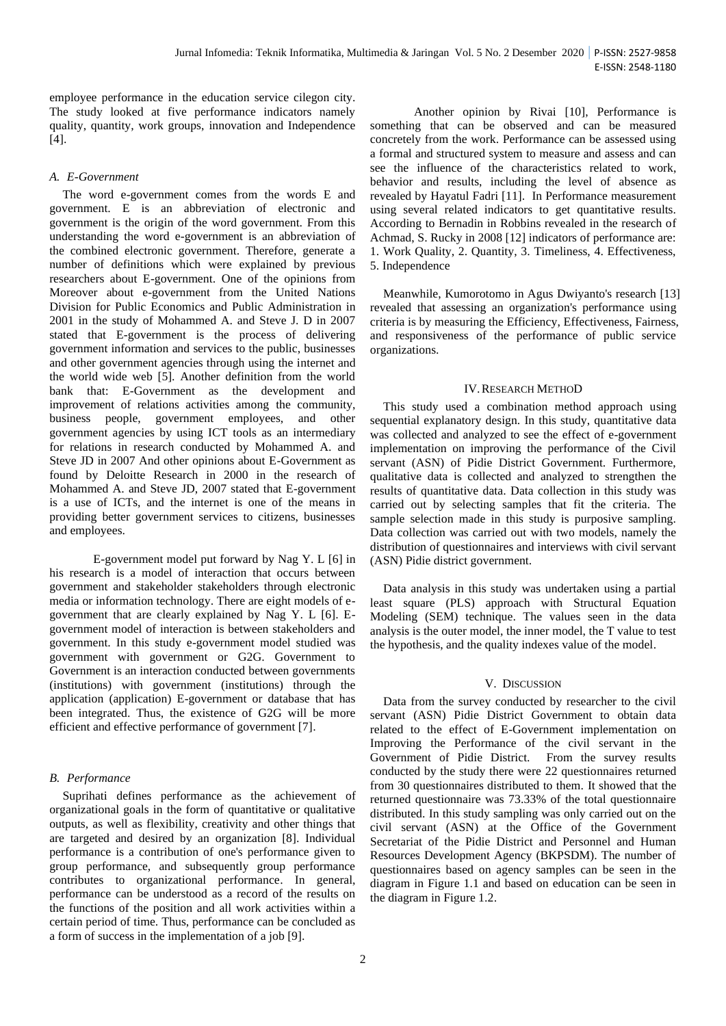employee performance in the education service cilegon city. The study looked at five performance indicators namely quality, quantity, work groups, innovation and Independence [4].

## *A. E-Government*

The word e-government comes from the words E and government. E is an abbreviation of electronic and government is the origin of the word government. From this understanding the word e-government is an abbreviation of the combined electronic government. Therefore, generate a number of definitions which were explained by previous researchers about E-government. One of the opinions from Moreover about e-government from the United Nations Division for Public Economics and Public Administration in 2001 in the study of Mohammed A. and Steve J. D in 2007 stated that E-government is the process of delivering government information and services to the public, businesses and other government agencies through using the internet and the world wide web [5]. Another definition from the world bank that: E-Government as the development and improvement of relations activities among the community, business people, government employees, and other government agencies by using ICT tools as an intermediary for relations in research conducted by Mohammed A. and Steve JD in 2007 And other opinions about E-Government as found by Deloitte Research in 2000 in the research of Mohammed A. and Steve JD, 2007 stated that E-government is a use of ICTs, and the internet is one of the means in providing better government services to citizens, businesses and employees.

E-government model put forward by Nag Y. L [6] in his research is a model of interaction that occurs between government and stakeholder stakeholders through electronic media or information technology. There are eight models of egovernment that are clearly explained by Nag Y. L [6]. Egovernment model of interaction is between stakeholders and government. In this study e-government model studied was government with government or G2G. Government to Government is an interaction conducted between governments (institutions) with government (institutions) through the application (application) E-government or database that has been integrated. Thus, the existence of G2G will be more efficient and effective performance of government [7].

## *B. Performance*

Suprihati defines performance as the achievement of organizational goals in the form of quantitative or qualitative outputs, as well as flexibility, creativity and other things that are targeted and desired by an organization [8]. Individual performance is a contribution of one's performance given to group performance, and subsequently group performance contributes to organizational performance. In general, performance can be understood as a record of the results on the functions of the position and all work activities within a certain period of time. Thus, performance can be concluded as a form of success in the implementation of a job [9].

Another opinion by Rivai [10], Performance is something that can be observed and can be measured concretely from the work. Performance can be assessed using a formal and structured system to measure and assess and can see the influence of the characteristics related to work, behavior and results, including the level of absence as revealed by Hayatul Fadri [11]. In Performance measurement using several related indicators to get quantitative results. According to Bernadin in Robbins revealed in the research of Achmad, S. Rucky in 2008 [12] indicators of performance are: 1. Work Quality, 2. Quantity, 3. Timeliness, 4. Effectiveness, 5. Independence

Meanwhile, Kumorotomo in Agus Dwiyanto's research [13] revealed that assessing an organization's performance using criteria is by measuring the Efficiency, Effectiveness, Fairness, and responsiveness of the performance of public service organizations.

## IV.RESEARCH METHOD

This study used a combination method approach using sequential explanatory design. In this study, quantitative data was collected and analyzed to see the effect of e-government implementation on improving the performance of the Civil servant (ASN) of Pidie District Government. Furthermore, qualitative data is collected and analyzed to strengthen the results of quantitative data. Data collection in this study was carried out by selecting samples that fit the criteria. The sample selection made in this study is purposive sampling. Data collection was carried out with two models, namely the distribution of questionnaires and interviews with civil servant (ASN) Pidie district government.

Data analysis in this study was undertaken using a partial least square (PLS) approach with Structural Equation Modeling (SEM) technique. The values seen in the data analysis is the outer model, the inner model, the T value to test the hypothesis, and the quality indexes value of the model.

## V. DISCUSSION

Data from the survey conducted by researcher to the civil servant (ASN) Pidie District Government to obtain data related to the effect of E-Government implementation on Improving the Performance of the civil servant in the Government of Pidie District. From the survey results conducted by the study there were 22 questionnaires returned from 30 questionnaires distributed to them. It showed that the returned questionnaire was 73.33% of the total questionnaire distributed. In this study sampling was only carried out on the civil servant (ASN) at the Office of the Government Secretariat of the Pidie District and Personnel and Human Resources Development Agency (BKPSDM). The number of questionnaires based on agency samples can be seen in the diagram in Figure 1.1 and based on education can be seen in the diagram in Figure 1.2.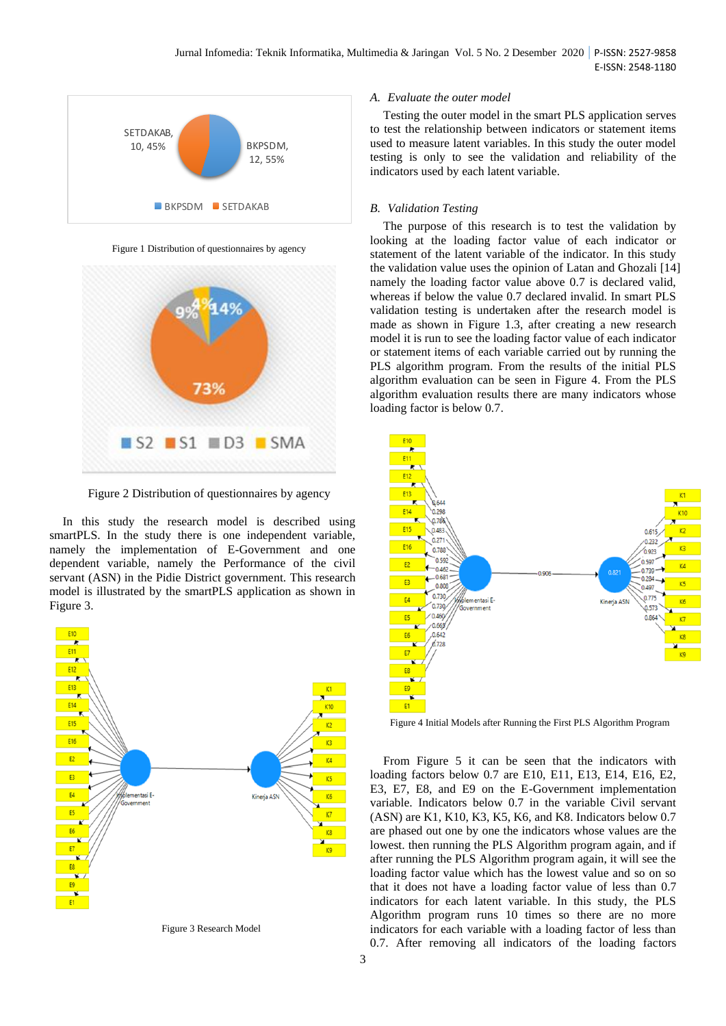

Figure 1 Distribution of questionnaires by agency



Figure 2 Distribution of questionnaires by agency

In this study the research model is described using smartPLS. In the study there is one independent variable, namely the implementation of E-Government and one dependent variable, namely the Performance of the civil servant (ASN) in the Pidie District government. This research model is illustrated by the smartPLS application as shown in Figure 3.



Figure 3 Research Model

#### *A. Evaluate the outer model*

Testing the outer model in the smart PLS application serves to test the relationship between indicators or statement items used to measure latent variables. In this study the outer model testing is only to see the validation and reliability of the indicators used by each latent variable.

#### *B. Validation Testing*

The purpose of this research is to test the validation by looking at the loading factor value of each indicator or statement of the latent variable of the indicator. In this study the validation value uses the opinion of Latan and Ghozali [14] namely the loading factor value above 0.7 is declared valid, whereas if below the value 0.7 declared invalid. In smart PLS validation testing is undertaken after the research model is made as shown in Figure 1.3, after creating a new research model it is run to see the loading factor value of each indicator or statement items of each variable carried out by running the PLS algorithm program. From the results of the initial PLS algorithm evaluation can be seen in Figure 4. From the PLS algorithm evaluation results there are many indicators whose loading factor is below 0.7.



Figure 4 Initial Models after Running the First PLS Algorithm Program

From Figure 5 it can be seen that the indicators with loading factors below 0.7 are E10, E11, E13, E14, E16, E2, E3, E7, E8, and E9 on the E-Government implementation variable. Indicators below 0.7 in the variable Civil servant (ASN) are K1, K10, K3, K5, K6, and K8. Indicators below 0.7 are phased out one by one the indicators whose values are the lowest. then running the PLS Algorithm program again, and if after running the PLS Algorithm program again, it will see the loading factor value which has the lowest value and so on so that it does not have a loading factor value of less than 0.7 indicators for each latent variable. In this study, the PLS Algorithm program runs 10 times so there are no more indicators for each variable with a loading factor of less than 0.7. After removing all indicators of the loading factors